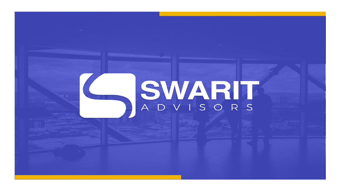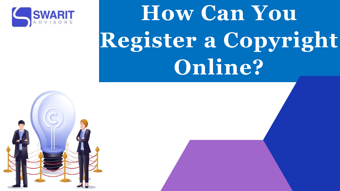

# **How Can You Register a Copyright Online?**

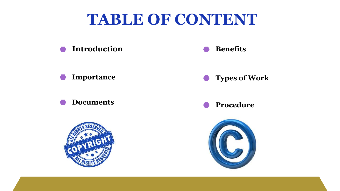

#### **Importance Types of Work**



## **TABLE OF CONTENT**





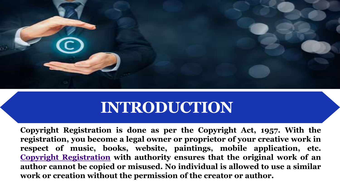

## **INTRODUCTION**

**Copyright Registration is done as per the Copyright Act, 1957. With the registration, you become a legal owner or proprietor of your creative work in respect of music, books, website, paintings, mobile application, etc. Copyright [Registration](https://swaritadvisors.com/copyright-registration) with authority ensures that the original work of an author cannot be copied or misused. No individual is allowed to use a similar work or creation without the permission of the creator or author.**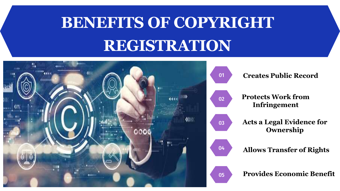## **BENEFITS OF COPYRIGHT REGISTRATION**

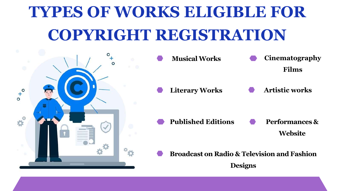# **TYPES OF WORKS ELIGIBLE FOR COPYRIGHT REGISTRATION**



#### **Broadcast on Radio & Television and Fashion Designs**

### **Cinematography Films**

#### **Artistic works**

#### **Performances & Website**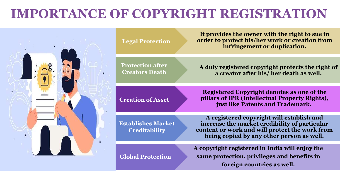## **IMPORTANCE OF COPYRIGHT REGISTRATION**





**It provides the owner with the right to sue in order to protect his/her work or creation from infringement or duplication.**

**A duly registered copyright protects the right of a creator after his/ her death as well.**

**Registered Copyright denotes as one of the pillars of IPR (Intellectual Property Rights), just like Patents and Trademark.**

**A registered copyright will establish and increase the market credibility of particular content or work and will protect the work from being copied by any other person as well.**

**A copyright registered in India will enjoy the same protection, privileges and benefits in foreign countries as well.**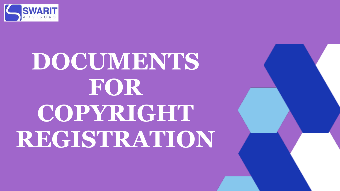

# **DOCUMENTS FOR COPYRIGHT REGISTRATION**

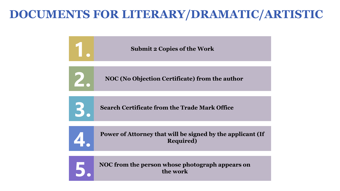### **DOCUMENTS FOR LITERARY/DRAMATIC/ARTISTIC**







**NOC from the person whose photograph appears on the work**

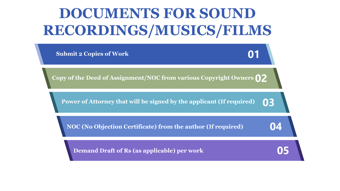## **DOCUMENTS FOR SOUND RECORDINGS/MUSICS/FILMS**

**Submit 2 Copies of Work**

**Demand Draft of Rs (as applicable) per work**

**NOC (No Objection Certificate) from the author (If required)**

**Power of Attorney that will be signed by the applicant (If required)**

**Copy of the Deed of Assignment/NOC from various Copyright Owners 02**

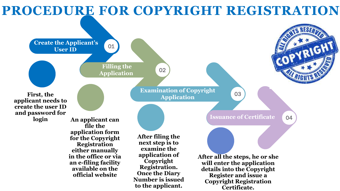**Create the Applicant's User ID**

> **Filling the Application**

> > **Examination of Copyright Application**

> > > **Issuance of Certificate**

**First, the applicant needs to create the user ID and password for** 

**login An applicant can file the application form for the Copyright Registration either manually in the office or via an e-filing facility available on the official website**

**After filing the next step is to examine the application of Copyright Registration. Once the Diary Number is issued to the applicant.**

**After all the steps, he or she will enter the application details into the Copyright Register and issue a Copyright Registration Certificate.**

01

02

03

04

## **PROCEDURE FOR COPYRIGHT REGISTRATION**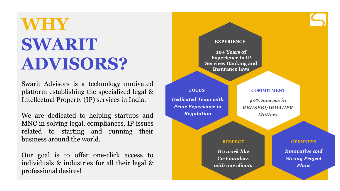## **WHY SWARIT ADVISORS?**

Swarit Advisors is a technology motivated platform establishing the specialized legal & Intellectual Property (IP) services in India.

We are dedicated to helping startups and MNC in solving legal, compliances, IP issues related to starting and running their business around the world.

Our goal is to offer one-click access to individuals & industries for all their legal & professional desires!

#### **EXPERIENCE**

**10+ Years of Experience in IP Services Banking and Insurance laws**

**FOCUS** 

*Dedicated Team with Prior Experience in Regulation* 

#### **COMMITMENT**

*90% Success in RBI/SEBI/IRDA/IPR Matters* 

#### **RESPECT**

*We work like Co-Founders with our clients*

#### **OPENNESS**

*Innovative and Strong Project Plans*